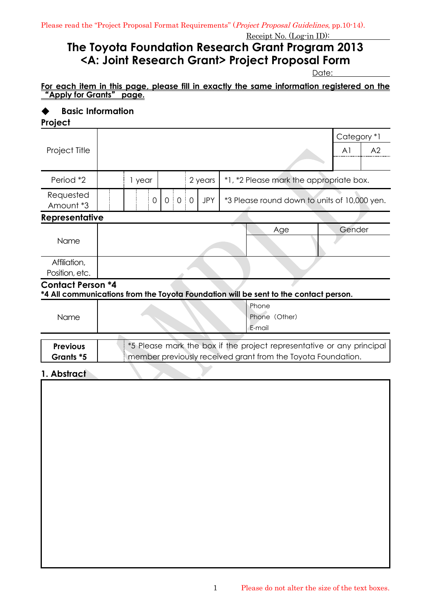## **The Toyota Foundation Research Grant Program 2013 <A: Joint Research Grant> Project Proposal Form**

Date:

#### **For each item in this page, please fill in exactly the same information registered on the**  "**Apply for Grants**" **page.**

# ◆ **Basic Information**

| Project                                                                                                          |                                                                                                                                       |  |  |  |  |  |  |        |                |                |
|------------------------------------------------------------------------------------------------------------------|---------------------------------------------------------------------------------------------------------------------------------------|--|--|--|--|--|--|--------|----------------|----------------|
|                                                                                                                  |                                                                                                                                       |  |  |  |  |  |  |        | Category *1    |                |
| Project Title                                                                                                    |                                                                                                                                       |  |  |  |  |  |  |        | A <sup>1</sup> | A <sub>2</sub> |
|                                                                                                                  |                                                                                                                                       |  |  |  |  |  |  |        |                |                |
| Period *2                                                                                                        | 2 years<br>*1, *2 Please mark the appropriate box.<br>1 year                                                                          |  |  |  |  |  |  |        |                |                |
| Requested<br>Amount *3                                                                                           | $0 \mid 0 \mid 0$<br>$\overline{0}$<br><b>JPY</b><br>*3 Please round down to units of 10,000 yen.                                     |  |  |  |  |  |  |        |                |                |
| Representative                                                                                                   |                                                                                                                                       |  |  |  |  |  |  |        |                |                |
|                                                                                                                  |                                                                                                                                       |  |  |  |  |  |  | Age    | Gender         |                |
| Name                                                                                                             |                                                                                                                                       |  |  |  |  |  |  |        |                |                |
| Affiliation,                                                                                                     |                                                                                                                                       |  |  |  |  |  |  |        |                |                |
| Position, etc.                                                                                                   |                                                                                                                                       |  |  |  |  |  |  |        |                |                |
| <b>Contact Person *4</b><br>*4 All communications from the Toyota Foundation will be sent to the contact person. |                                                                                                                                       |  |  |  |  |  |  |        |                |                |
|                                                                                                                  | Phone                                                                                                                                 |  |  |  |  |  |  |        |                |                |
| Name                                                                                                             | Phone (Other)                                                                                                                         |  |  |  |  |  |  |        |                |                |
|                                                                                                                  |                                                                                                                                       |  |  |  |  |  |  | E-mail |                |                |
| <b>Previous</b>                                                                                                  |                                                                                                                                       |  |  |  |  |  |  |        |                |                |
| Grants *5                                                                                                        | *5 Please mark the box if the project representative or any principal<br>member previously received grant from the Toyota Foundation. |  |  |  |  |  |  |        |                |                |
| 1. Abstract                                                                                                      |                                                                                                                                       |  |  |  |  |  |  |        |                |                |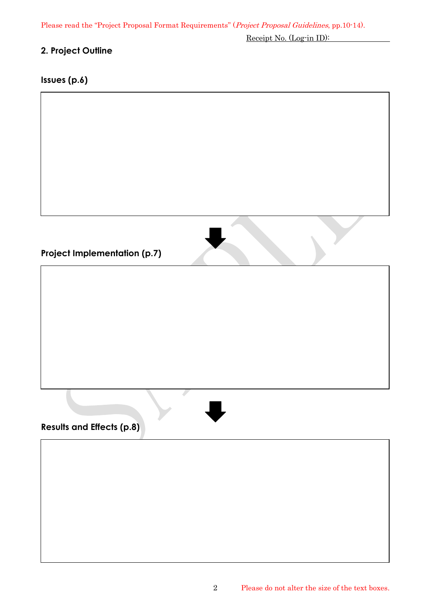Please read the "Project Proposal Format Requirements" (Project Proposal Guidelines, pp.10-14).

Receipt No. (Log-in ID):

## **2. Project Outline**

## **Issues (p.6)**

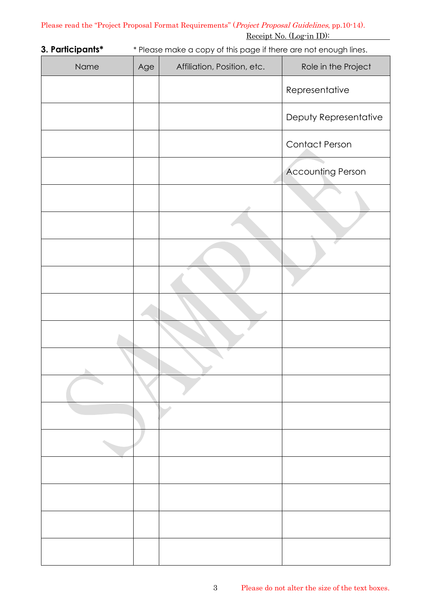**3. Participants\*** \* Please make a copy of this page if there are not enough lines.

| Name | Age | Affiliation, Position, etc. | Role in the Project      |
|------|-----|-----------------------------|--------------------------|
|      |     |                             | Representative           |
|      |     |                             | Deputy Representative    |
|      |     |                             | <b>Contact Person</b>    |
|      |     |                             | <b>Accounting Person</b> |
|      |     |                             |                          |
|      |     |                             |                          |
|      |     |                             |                          |
|      |     |                             |                          |
|      |     |                             |                          |
|      |     |                             |                          |
|      |     |                             |                          |
|      |     |                             |                          |
|      |     |                             |                          |
|      |     |                             |                          |
|      |     |                             |                          |
|      |     |                             |                          |
|      |     |                             |                          |
|      |     |                             |                          |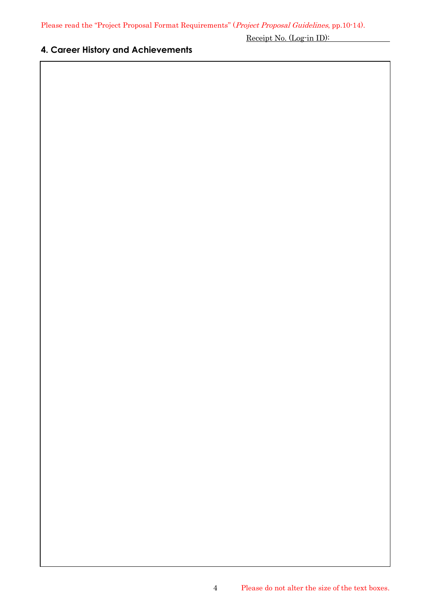## **4. Career History and Achievements**

Receipt No. (Log-in ID):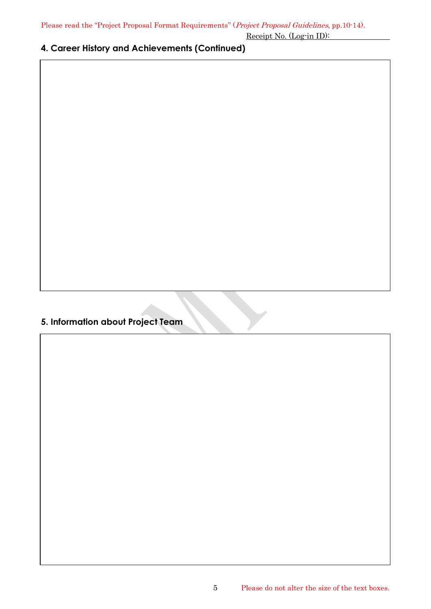**4. Career History and Achievements (Continued)**

## **5. Information about Project Team**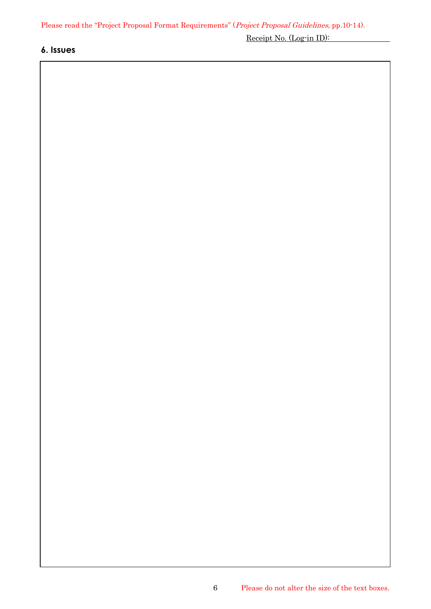#### **6. Issues**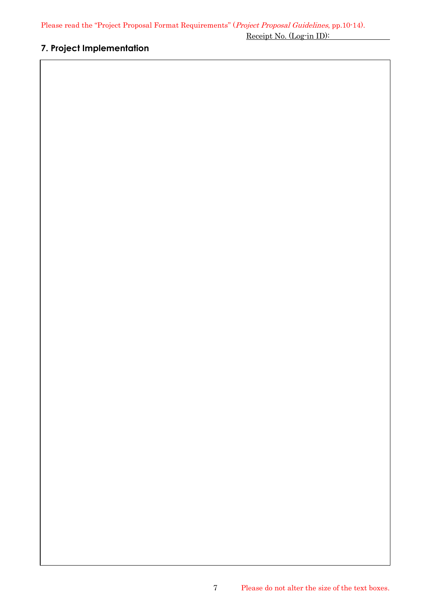## **7. Project Implementation**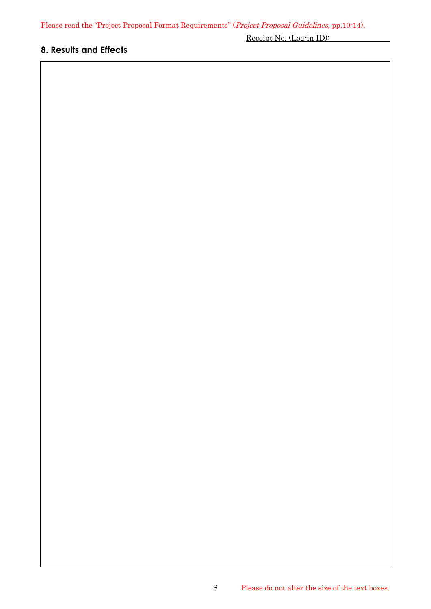## **8. Results and Effects**

Receipt No. (Log-in ID):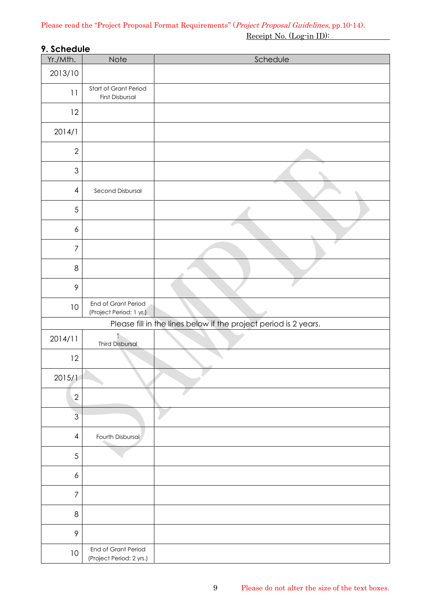## **9. Schedule**

| Yr./Mth.         | Note                                            | Schedule                                                         |
|------------------|-------------------------------------------------|------------------------------------------------------------------|
| 2013/10          |                                                 |                                                                  |
| 11               | Start of Grant Period<br>First Disbursal        |                                                                  |
| 12               |                                                 |                                                                  |
| 2014/1           |                                                 |                                                                  |
| $\sqrt{2}$       |                                                 |                                                                  |
| $\mathfrak{S}$   |                                                 |                                                                  |
| $\overline{4}$   | Second Disbursal                                |                                                                  |
| 5                |                                                 |                                                                  |
| 6                |                                                 |                                                                  |
| $\overline{7}$   |                                                 |                                                                  |
| $\,8\,$          |                                                 |                                                                  |
| $\mathcal{P}$    |                                                 |                                                                  |
| 10               | End of Grant Period<br>(Project Period: 1 yr.)  |                                                                  |
|                  |                                                 | Please fill in the lines below if the project period is 2 years. |
| 2014/11          | ↑<br><b>Third Disbursal</b>                     |                                                                  |
| 12               |                                                 |                                                                  |
| 2015/1           |                                                 |                                                                  |
| $\overline{2}$   |                                                 |                                                                  |
| $\overline{3}$   |                                                 |                                                                  |
| $\overline{4}$   | Fourth Disbursal                                |                                                                  |
| $\sqrt{5}$       |                                                 |                                                                  |
| $\boldsymbol{6}$ |                                                 |                                                                  |
| 7                |                                                 |                                                                  |
| $\,8\,$          |                                                 |                                                                  |
| $\mathcal{P}$    |                                                 |                                                                  |
| 10               | End of Grant Period<br>(Project Period: 2 yrs.) |                                                                  |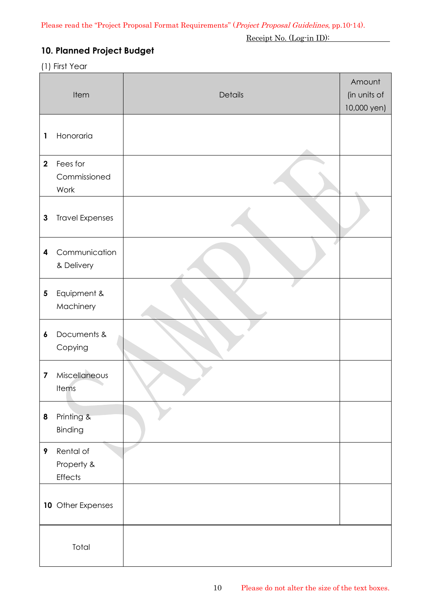## **10. Planned Project Budget**

#### (1) First Year

|                         | Item                                      | Details | Amount<br>(in units of<br>10,000 yen) |
|-------------------------|-------------------------------------------|---------|---------------------------------------|
| 1                       | Honoraria                                 |         |                                       |
| $\mathbf{2}$            | Fees for<br>Commissioned<br>Work          |         |                                       |
| $\mathbf{3}$            | <b>Travel Expenses</b>                    |         |                                       |
| 4                       | Communication<br>& Delivery               |         |                                       |
| 5                       | Equipment &<br>Machinery                  |         |                                       |
| 6                       | Documents &<br>Copying                    |         |                                       |
| $\overline{\mathbf{z}}$ | Miscellaneous<br>Items                    |         |                                       |
| 8                       | Printing &<br>Binding                     |         |                                       |
| 9                       | Rental of<br>Property &<br><b>Effects</b> |         |                                       |
|                         | 10 Other Expenses                         |         |                                       |
|                         | Total                                     |         |                                       |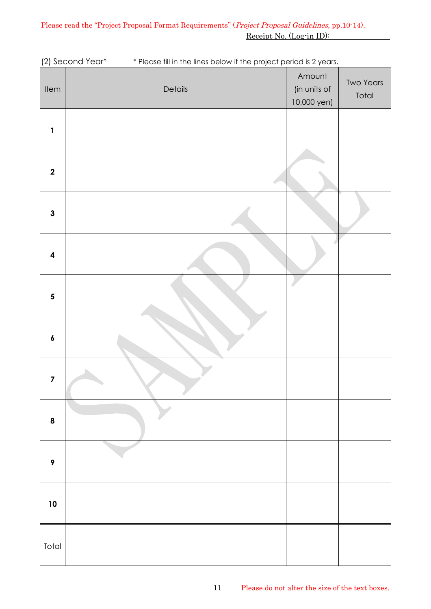| Item                    | Details | Amount<br>(in units of<br>10,000 yen) | <b>Two Years</b><br>Total |
|-------------------------|---------|---------------------------------------|---------------------------|
| $\mathbf{1}$            |         |                                       |                           |
| $\mathbf 2$             |         |                                       |                           |
| $\mathbf{3}$            |         |                                       |                           |
| $\boldsymbol{4}$        |         |                                       |                           |
| $\overline{\mathbf{5}}$ |         |                                       |                           |
| $\pmb{6}$               |         |                                       |                           |
| $\overline{\mathbf{z}}$ |         |                                       |                           |
| $\pmb{8}$               |         |                                       |                           |
| $\boldsymbol{9}$        |         |                                       |                           |
| 10                      |         |                                       |                           |
| Total                   |         |                                       |                           |

(2) Second Year\* \* Please fill in the lines below if the project period is 2 years.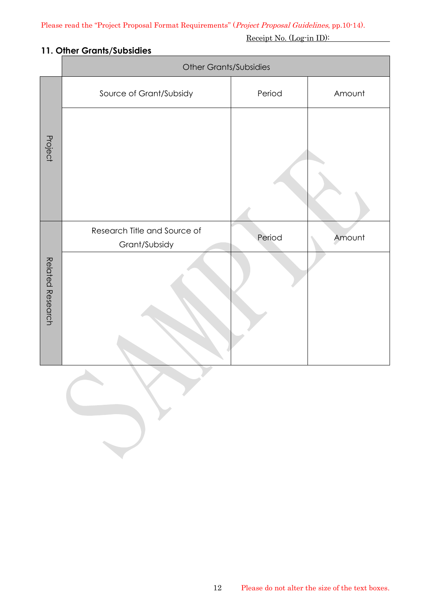### **11. Other Grants/Subsidies**

|                  | <b>Other Grants/Subsidies</b>                 |        |        |  |  |  |  |  |
|------------------|-----------------------------------------------|--------|--------|--|--|--|--|--|
|                  | Source of Grant/Subsidy                       | Period | Amount |  |  |  |  |  |
| Project          |                                               |        |        |  |  |  |  |  |
| Related Research | Research Title and Source of<br>Grant/Subsidy | Period | Amount |  |  |  |  |  |
|                  |                                               |        |        |  |  |  |  |  |

 $\mathcal{L}$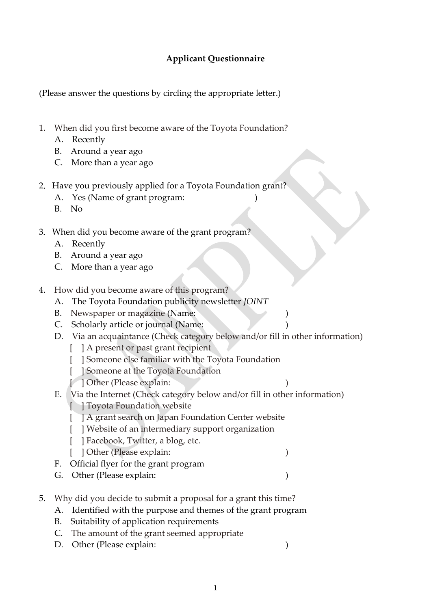## **Applicant Questionnaire**

(Please answer the questions by circling the appropriate letter.)

- 1. When did you first become aware of the Toyota Foundation?
	- A. Recently
	- B. Around a year ago
	- C. More than a year ago
- 2. Have you previously applied for a Toyota Foundation grant?
	- A. Yes (Name of grant program:
	- B. No
- 3.When did you become aware of the grant program?
	- A. Recently
	- B. Around a year ago
	- C. More than a year ago
- 4. How did you become aware of this program?
	- A. The Toyota Foundation publicity newsletter *JOINT*
	- B. Newspaper or magazine (Name:
	- C. Scholarly article or journal (Name:
	- D. Via an acquaintance (Check category below and/or fill in other information)
		- [ ] A present or past grant recipient
		- [ ] Someone else familiar with the Toyota Foundation
		- [ ] Someone at the Toyota Foundation
		- [ ] Other (Please explain: )
	- E. Via the Internet (Check category below and/or fill in other information)
		- [ ] Toyota Foundation website
		- [ ] A grant search on Japan Foundation Center website
		- [ ] Website of an intermediary support organization
		- [ ] Facebook, Twitter, a blog, etc.
		- [ ] Other (Please explain: )
	- F. Official flyer for the grant program
	- G. Other (Please explain: )
- 5. Why did you decide to submit a proposal for a grant this time?
	- A. Identified with the purpose and themes of the grant program
	- B. Suitability of application requirements
	- C. The amount of the grant seemed appropriate
	- D. Other (Please explain: )
		-